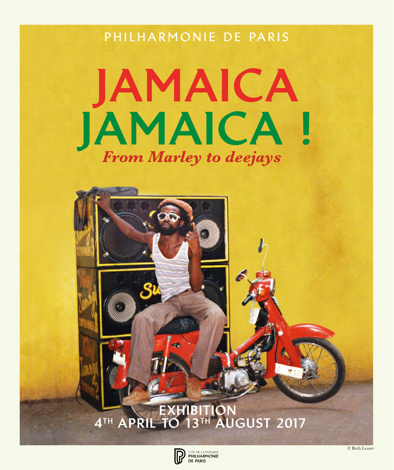PHILHARMONIE DE PARIS

# JAMAICA JAMAICA ! *From Marley to deejays*

EXHIBITION 4<sup>TH</sup> APRIL TO 13TH AUGUST 2017



© Beth Lesser

Natty Dread, Tony Wright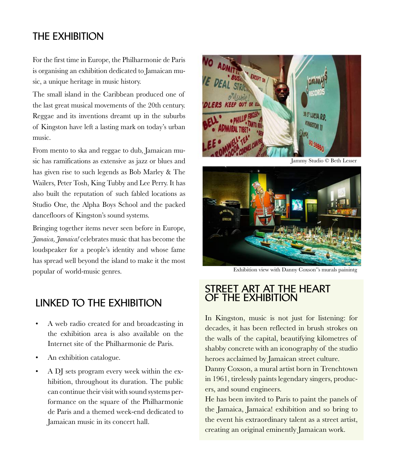# **THE EXHIBITION**

For the first time in Europe, the Philharmonie de Paris is organising an exhibition dedicated to Jamaican music, a unique heritage in music history.

The small island in the Caribbean produced one of the last great musical movements of the 20th century. Reggae and its inventions dreamt up in the suburbs of Kingston have left a lasting mark on today's urban music.

From mento to ska and reggae to dub, Jamaican music has ramifications as extensive as jazz or blues and has given rise to such legends as Bob Marley & The Wailers, Peter Tosh, King Tubby and Lee Perry. It has also built the reputation of such fabled locations as Studio One, the Alpha Boys School and the packed dancefloors of Kingston's sound systems.

Bringing together items never seen before in Europe, *Jamaica, Jamaica!* celebrates music that has become the loudspeaker for a people's identity and whose fame has spread well beyond the island to make it the most popular of world-music genres.

# **LINKED TO THE EXHIBITION**

- A web radio created for and broadcasting in the exhibition area is also available on the Internet site of the Philharmonie de Paris.
- An exhibition catalogue.
- A DJ sets program every week within the exhibition, throughout its duration. The public can continue their visit with sound systems performance on the square of the Philharmonie de Paris and a themed week-end dedicated to Jamaican music in its concert hall.



Jammy Studio © Beth Lesser



Exhibition view with Danny Coxson''s murals painintg

## **STREET ART AT THE HEART OF THE EXHIBITION**

In Kingston, music is not just for listening: for decades, it has been reflected in brush strokes on the walls of the capital, beautifying kilometres of shabby concrete with an iconography of the studio heroes acclaimed by Jamaican street culture.

Danny Coxson, a mural artist born in Trenchtown in 1961, tirelessly paints legendary singers, producers, and sound engineers.

He has been invited to Paris to paint the panels of the Jamaica, Jamaica! exhibition and so bring to the event his extraordinary talent as a street artist, creating an original eminently Jamaican work.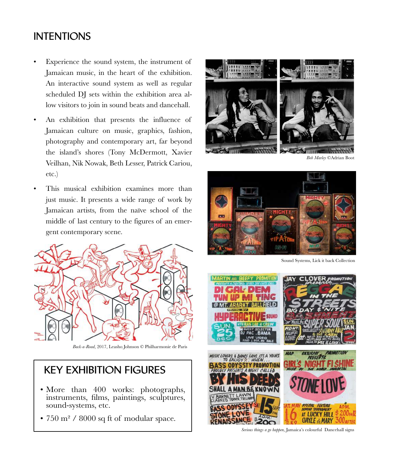# **INTENTIONS**

- Experience the sound system, the instrument of Jamaican music, in the heart of the exhibition. An interactive sound system as well as regular scheduled DJ sets within the exhibition area allow visitors to join in sound beats and dancehall.
- An exhibition that presents the influence of Jamaican culture on music, graphics, fashion, photography and contemporary art, far beyond the island's shores (Tony McDermott, Xavier Veilhan, Nik Nowak, Beth Lesser, Patrick Cariou, etc.)
- This musical exhibition examines more than just music. It presents a wide range of work by Jamaican artists, from the naïve school of the middle of last century to the figures of an emergent contemporary scene.



*Back-a-Road*, 2017, Leasho Johnson © Philharmonie de Paris

# **KEY EXHIBITION FIGURES**

- More than 400 works: photographs, instruments, films, paintings, sculptures, sound-systems, etc.
- 750 m² / 8000 sq ft of modular space.



*Bob Marley* ©Adrian Boot



Sound Systems, Lick it back Collection



*Serious things a go happen,* Jamaica's colourful Dancehall signs